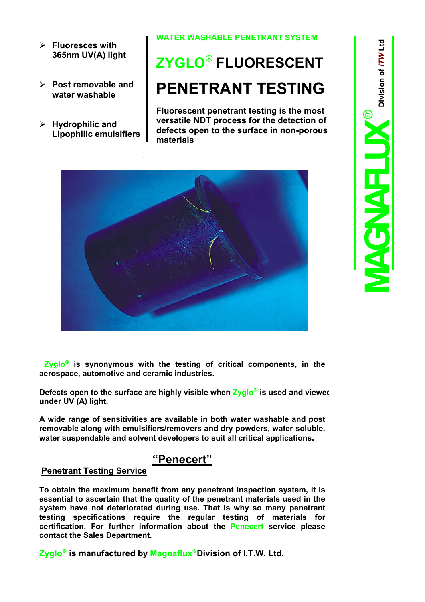- ¾ **Fluoresces with 365nm UV(A) light**
- ¾ **Post removable and water washable**
- ¾ **Hydrophilic and Lipophilic emulsifiers**

## **WATER WASHABLE PENETRANT SYSTEM**

## **ZYGLO FLUORESCENT PENETRANT TESTING**

**Fluorescent penetrant testing is the most versatile NDT process for the detection of defects open to the surface in non-porous materials**



**Zyglo is synonymous with the testing of critical components, in the aerospace, automotive and ceramic industries.**

**Defects open to the surface are highly visible when Zyglo<sup>®</sup> is used and viewed under UV (A) light.**

**A wide range of sensitivities are available in both water washable and post removable along with emulsifiers/removers and dry powders, water soluble, water suspendable and solvent developers to suit all critical applications.**

## **"Penecert"**

## **Penetrant Testing Service**

**To obtain the maximum benefit from any penetrant inspection system, it is essential to ascertain that the quality of the penetrant materials used in the system have not deteriorated during use. That is why so many penetrant testing specifications require the regular testing of materials for certification. For further information about the Penecert service please contact the Sales Department.**

**Zyglo is manufactured by MagnafluxDivision of I.T.W. Ltd.**